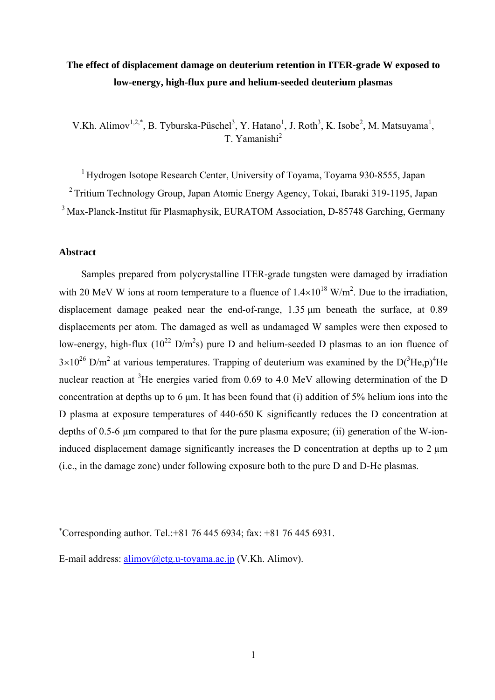# **The effect of displacement damage on deuterium retention in ITER-grade W exposed to low-energy, high-flux pure and helium-seeded deuterium plasmas**

V.Kh. Alimov<sup>1,2,\*</sup>, B. Tyburska-Püschel<sup>3</sup>, Y. Hatano<sup>1</sup>, J. Roth<sup>3</sup>, K. Isobe<sup>2</sup>, M. Matsuyama<sup>1</sup>, T. Yamanishi<sup>2</sup>

<sup>1</sup> Hydrogen Isotope Research Center, University of Toyama, Toyama 930-8555, Japan 2 Tritium Technology Group, Japan Atomic Energy Agency, Tokai, Ibaraki 319-1195, Japan <sup>3</sup> Max-Planck-Institut für Plasmaphysik, EURATOM Association, D-85748 Garching, Germany

## **Abstract**

Samples prepared from polycrystalline ITER-grade tungsten were damaged by irradiation with 20 MeV W ions at room temperature to a fluence of  $1.4\times10^{18}$  W/m<sup>2</sup>. Due to the irradiation, displacement damage peaked near the end-of-range, 1.35 μm beneath the surface, at 0.89 displacements per atom. The damaged as well as undamaged W samples were then exposed to low-energy, high-flux ( $10^{22}$  D/m<sup>2</sup>s) pure D and helium-seeded D plasmas to an ion fluence of  $3\times10^{26}$  D/m<sup>2</sup> at various temperatures. Trapping of deuterium was examined by the D(<sup>3</sup>He,p)<sup>4</sup>He nuclear reaction at <sup>3</sup>He energies varied from 0.69 to 4.0 MeV allowing determination of the D concentration at depths up to 6 μm. It has been found that (i) addition of 5% helium ions into the D plasma at exposure temperatures of 440-650 K significantly reduces the D concentration at depths of 0.5-6 µm compared to that for the pure plasma exposure; (ii) generation of the W-ioninduced displacement damage significantly increases the D concentration at depths up to  $2 \mu m$ (i.e., in the damage zone) under following exposure both to the pure D and D-He plasmas.

Corresponding author. Tel.:+81 76 445 6934; fax: +81 76 445 6931.

E-mail address: alimov@ctg.u-toyama.ac.jp (V.Kh. Alimov).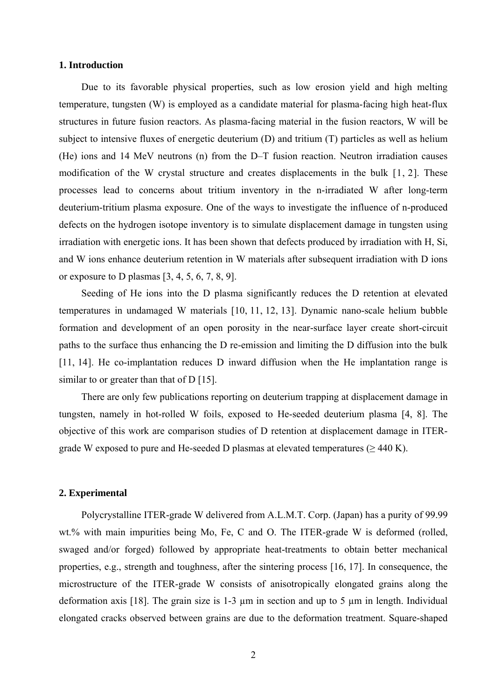#### **1. Introduction**

Due to its favorable physical properties, such as low erosion yield and high melting temperature, tungsten (W) is employed as a candidate material for plasma-facing high heat-flux structures in future fusion reactors. As plasma-facing material in the fusion reactors, W will be subject to intensive fluxes of energetic deuterium (D) and tritium (T) particles as well as helium (He) ions and 14 MeV neutrons (n) from the D–T fusion reaction. Neutron irradiation causes modification of the W crystal structure and creates displacements in the bulk [1, 2]. These processes lead to concerns about tritium inventory in the n-irradiated W after long-term deuterium-tritium plasma exposure. One of the ways to investigate the influence of n-produced defects on the hydrogen isotope inventory is to simulate displacement damage in tungsten using irradiation with energetic ions. It has been shown that defects produced by irradiation with H, Si, and W ions enhance deuterium retention in W materials after subsequent irradiation with D ions or exposure to D plasmas [3, 4, 5, 6, 7, 8, 9].

Seeding of He ions into the D plasma significantly reduces the D retention at elevated temperatures in undamaged W materials [10, 11, 12, 13]. Dynamic nano-scale helium bubble formation and development of an open porosity in the near-surface layer create short-circuit paths to the surface thus enhancing the D re-emission and limiting the D diffusion into the bulk [11, 14]. He co-implantation reduces D inward diffusion when the He implantation range is similar to or greater than that of D [15].

There are only few publications reporting on deuterium trapping at displacement damage in tungsten, namely in hot-rolled W foils, exposed to He-seeded deuterium plasma [4, 8]. The objective of this work are comparison studies of D retention at displacement damage in ITERgrade W exposed to pure and He-seeded D plasmas at elevated temperatures ( $\geq 440$  K).

#### **2. Experimental**

Polycrystalline ITER-grade W delivered from A.L.M.T. Corp. (Japan) has a purity of 99.99 wt.% with main impurities being Mo, Fe, C and O. The ITER-grade W is deformed (rolled, swaged and/or forged) followed by appropriate heat-treatments to obtain better mechanical properties, e.g., strength and toughness, after the sintering process [16, 17]. In consequence, the microstructure of the ITER-grade W consists of anisotropically elongated grains along the deformation axis [18]. The grain size is 1-3 µm in section and up to 5 µm in length. Individual elongated cracks observed between grains are due to the deformation treatment. Square-shaped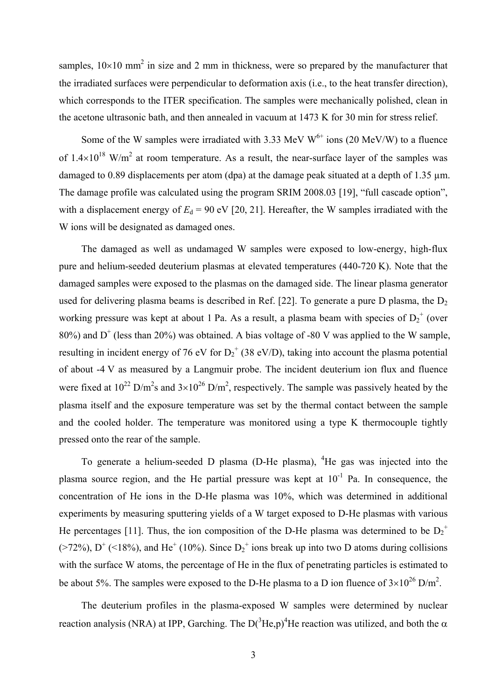samples,  $10\times10$  mm<sup>2</sup> in size and 2 mm in thickness, were so prepared by the manufacturer that the irradiated surfaces were perpendicular to deformation axis (i.e., to the heat transfer direction), which corresponds to the ITER specification. The samples were mechanically polished, clean in the acetone ultrasonic bath, and then annealed in vacuum at 1473 K for 30 min for stress relief.

Some of the W samples were irradiated with 3.33 MeV  $W^{6+}$  ions (20 MeV/W) to a fluence of 1.4 $\times$ 10<sup>18</sup> W/m<sup>2</sup> at room temperature. As a result, the near-surface layer of the samples was damaged to 0.89 displacements per atom (dpa) at the damage peak situated at a depth of 1.35  $\mu$ m. The damage profile was calculated using the program SRIM 2008.03 [19], "full cascade option", with a displacement energy of  $E_d = 90$  eV [20, 21]. Hereafter, the W samples irradiated with the W ions will be designated as damaged ones.

The damaged as well as undamaged W samples were exposed to low-energy, high-flux pure and helium-seeded deuterium plasmas at elevated temperatures (440-720 K). Note that the damaged samples were exposed to the plasmas on the damaged side. The linear plasma generator used for delivering plasma beams is described in Ref. [22]. To generate a pure D plasma, the  $D_2$ working pressure was kept at about 1 Pa. As a result, a plasma beam with species of  $D_2^+$  (over 80%) and  $D^+$  (less than 20%) was obtained. A bias voltage of -80 V was applied to the W sample, resulting in incident energy of 76 eV for  $D_2^+$  (38 eV/D), taking into account the plasma potential of about -4 V as measured by a Langmuir probe. The incident deuterium ion flux and fluence were fixed at  $10^{22}$  D/m<sup>2</sup>s and  $3\times10^{26}$  D/m<sup>2</sup>, respectively. The sample was passively heated by the plasma itself and the exposure temperature was set by the thermal contact between the sample and the cooled holder. The temperature was monitored using a type K thermocouple tightly pressed onto the rear of the sample.

To generate a helium-seeded D plasma (D-He plasma),  ${}^{4}$ He gas was injected into the plasma source region, and the He partial pressure was kept at  $10^{-1}$  Pa. In consequence, the concentration of He ions in the D-He plasma was 10%, which was determined in additional experiments by measuring sputtering yields of a W target exposed to D-He plasmas with various He percentages [11]. Thus, the ion composition of the D-He plasma was determined to be  $D_2^+$  $($ >72%), D<sup>+</sup> (<18%), and He<sup>+</sup> (10%). Since D<sub>2</sub><sup>+</sup> ions break up into two D atoms during collisions with the surface W atoms, the percentage of He in the flux of penetrating particles is estimated to be about 5%. The samples were exposed to the D-He plasma to a D ion fluence of  $3\times10^{26}$  D/m<sup>2</sup>.

The deuterium profiles in the plasma-exposed W samples were determined by nuclear reaction analysis (NRA) at IPP, Garching. The D( ${}^{3}$ He,p)<sup>4</sup>He reaction was utilized, and both the  $\alpha$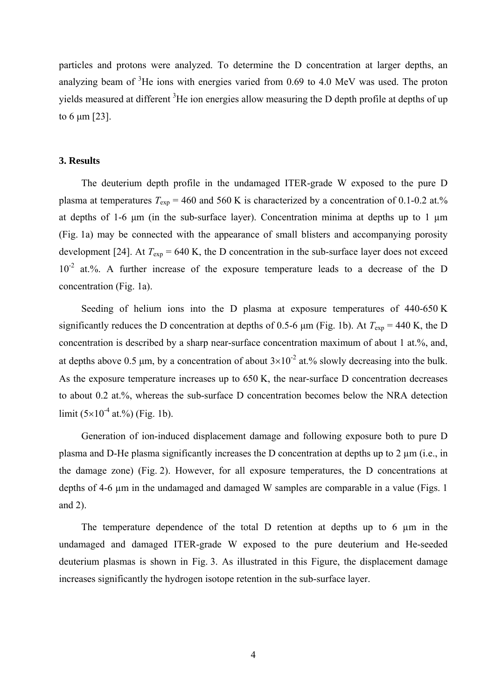particles and protons were analyzed. To determine the D concentration at larger depths, an analyzing beam of  $3$ He ions with energies varied from 0.69 to 4.0 MeV was used. The proton yields measured at different  ${}^{3}$ He ion energies allow measuring the D depth profile at depths of up to 6 μm [23].

#### **3. Results**

The deuterium depth profile in the undamaged ITER-grade W exposed to the pure D plasma at temperatures  $T_{\text{exp}} = 460$  and 560 K is characterized by a concentration of 0.1-0.2 at.% at depths of 1-6  $\mu$ m (in the sub-surface layer). Concentration minima at depths up to 1  $\mu$ m (Fig. 1a) may be connected with the appearance of small blisters and accompanying porosity development [24]. At  $T_{\text{exp}}$  = 640 K, the D concentration in the sub-surface layer does not exceed  $10^{-2}$  at.%. A further increase of the exposure temperature leads to a decrease of the D concentration (Fig. 1a).

Seeding of helium ions into the D plasma at exposure temperatures of 440-650 K significantly reduces the D concentration at depths of 0.5-6  $\mu$ m (Fig. 1b). At  $T_{\text{exp}} = 440$  K, the D concentration is described by a sharp near-surface concentration maximum of about 1 at.%, and, at depths above 0.5 μm, by a concentration of about  $3\times10^{-2}$  at.% slowly decreasing into the bulk. As the exposure temperature increases up to 650 K, the near-surface D concentration decreases to about 0.2 at.%, whereas the sub-surface D concentration becomes below the NRA detection limit  $(5\times10^{-4}$  at.%) (Fig. 1b).

Generation of ion-induced displacement damage and following exposure both to pure D plasma and D-He plasma significantly increases the D concentration at depths up to  $2 \mu m$  (i.e., in the damage zone) (Fig. 2). However, for all exposure temperatures, the D concentrations at depths of 4-6 µm in the undamaged and damaged W samples are comparable in a value (Figs. 1) and 2).

The temperature dependence of the total D retention at depths up to 6  $\mu$ m in the undamaged and damaged ITER-grade W exposed to the pure deuterium and He-seeded deuterium plasmas is shown in Fig. 3. As illustrated in this Figure, the displacement damage increases significantly the hydrogen isotope retention in the sub-surface layer.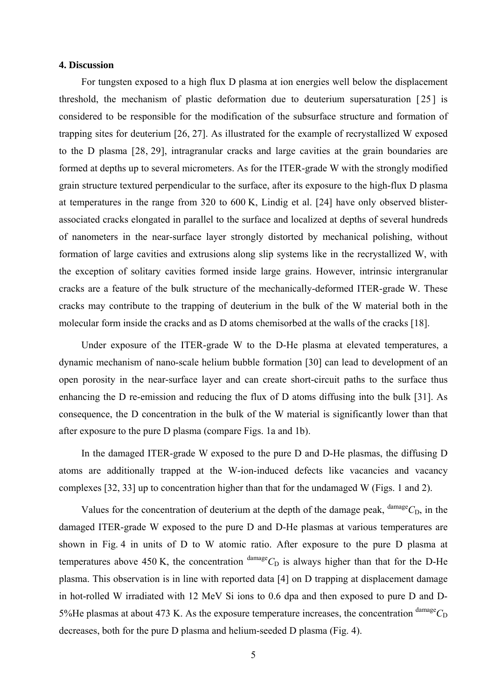#### **4. Discussion**

For tungsten exposed to a high flux D plasma at ion energies well below the displacement threshold, the mechanism of plastic deformation due to deuterium supersaturation [ 25 ] is considered to be responsible for the modification of the subsurface structure and formation of trapping sites for deuterium [26, 27]. As illustrated for the example of recrystallized W exposed to the D plasma [28, 29], intragranular cracks and large cavities at the grain boundaries are formed at depths up to several micrometers. As for the ITER-grade W with the strongly modified grain structure textured perpendicular to the surface, after its exposure to the high-flux D plasma at temperatures in the range from 320 to 600 K, Lindig et al. [24] have only observed blisterassociated cracks elongated in parallel to the surface and localized at depths of several hundreds of nanometers in the near-surface layer strongly distorted by mechanical polishing, without formation of large cavities and extrusions along slip systems like in the recrystallized W, with the exception of solitary cavities formed inside large grains. However, intrinsic intergranular cracks are a feature of the bulk structure of the mechanically-deformed ITER-grade W. These cracks may contribute to the trapping of deuterium in the bulk of the W material both in the molecular form inside the cracks and as D atoms chemisorbed at the walls of the cracks [18].

Under exposure of the ITER-grade W to the D-He plasma at elevated temperatures, a dynamic mechanism of nano-scale helium bubble formation [30] can lead to development of an open porosity in the near-surface layer and can create short-circuit paths to the surface thus enhancing the D re-emission and reducing the flux of D atoms diffusing into the bulk [31]. As consequence, the D concentration in the bulk of the W material is significantly lower than that after exposure to the pure D plasma (compare Figs. 1a and 1b).

In the damaged ITER-grade W exposed to the pure D and D-He plasmas, the diffusing D atoms are additionally trapped at the W-ion-induced defects like vacancies and vacancy complexes [32, 33] up to concentration higher than that for the undamaged W (Figs. 1 and 2).

Values for the concentration of deuterium at the depth of the damage peak,  $\frac{\text{damage}}{C_D}$ , in the damaged ITER-grade W exposed to the pure D and D-He plasmas at various temperatures are shown in Fig. 4 in units of D to W atomic ratio. After exposure to the pure D plasma at temperatures above 450 K, the concentration  $\frac{\text{damage}}{\text{C_D}}$  is always higher than that for the D-He plasma. This observation is in line with reported data [4] on D trapping at displacement damage in hot-rolled W irradiated with 12 MeV Si ions to 0.6 dpa and then exposed to pure D and D-5%He plasmas at about 473 K. As the exposure temperature increases, the concentration  $\text{d}^{\text{amage}}C_D$ decreases, both for the pure D plasma and helium-seeded D plasma (Fig. 4).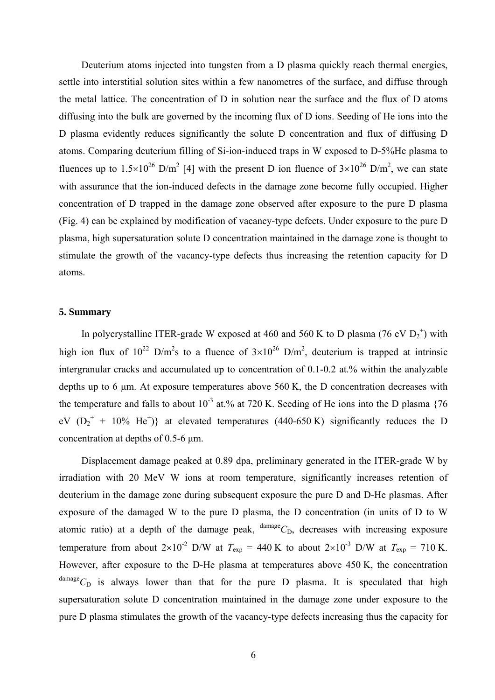Deuterium atoms injected into tungsten from a D plasma quickly reach thermal energies, settle into interstitial solution sites within a few nanometres of the surface, and diffuse through the metal lattice. The concentration of D in solution near the surface and the flux of D atoms diffusing into the bulk are governed by the incoming flux of D ions. Seeding of He ions into the D plasma evidently reduces significantly the solute D concentration and flux of diffusing D atoms. Comparing deuterium filling of Si-ion-induced traps in W exposed to D-5%He plasma to fluences up to  $1.5\times10^{26}$  D/m<sup>2</sup> [4] with the present D ion fluence of  $3\times10^{26}$  D/m<sup>2</sup>, we can state with assurance that the ion-induced defects in the damage zone become fully occupied. Higher concentration of D trapped in the damage zone observed after exposure to the pure D plasma (Fig. 4) can be explained by modification of vacancy-type defects. Under exposure to the pure D plasma, high supersaturation solute D concentration maintained in the damage zone is thought to stimulate the growth of the vacancy-type defects thus increasing the retention capacity for D atoms.

#### **5. Summary**

In polycrystalline ITER-grade W exposed at 460 and 560 K to D plasma (76 eV  $D_2^+$ ) with high ion flux of  $10^{22}$  D/m<sup>2</sup>s to a fluence of  $3\times10^{26}$  D/m<sup>2</sup>, deuterium is trapped at intrinsic intergranular cracks and accumulated up to concentration of 0.1-0.2 at.% within the analyzable depths up to 6 μm. At exposure temperatures above 560 K, the D concentration decreases with the temperature and falls to about  $10^{-3}$  at.% at 720 K. Seeding of He ions into the D plasma {76} eV  $(D_2^+ + 10\%$  He<sup>+</sup>)} at elevated temperatures (440-650 K) significantly reduces the D concentration at depths of 0.5-6 μm.

Displacement damage peaked at 0.89 dpa, preliminary generated in the ITER-grade W by irradiation with 20 MeV W ions at room temperature, significantly increases retention of deuterium in the damage zone during subsequent exposure the pure D and D-He plasmas. After exposure of the damaged W to the pure D plasma, the D concentration (in units of D to W atomic ratio) at a depth of the damage peak,  $\frac{\text{damage}}{\text{C}}$ <sub>D</sub>, decreases with increasing exposure temperature from about  $2\times10^{-2}$  D/W at  $T_{\text{exp}} = 440$  K to about  $2\times10^{-3}$  D/W at  $T_{\text{exp}} = 710$  K. However, after exposure to the D-He plasma at temperatures above 450 K, the concentration  $d$ <sup>damage</sup> $C_D$  is always lower than that for the pure D plasma. It is speculated that high supersaturation solute D concentration maintained in the damage zone under exposure to the pure D plasma stimulates the growth of the vacancy-type defects increasing thus the capacity for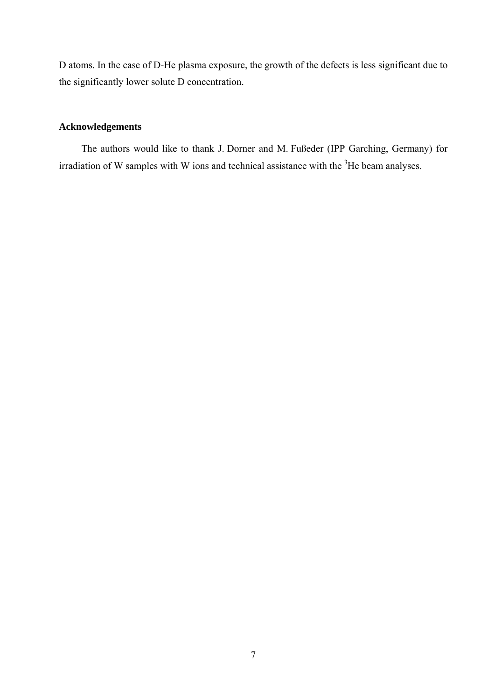D atoms. In the case of D-He plasma exposure, the growth of the defects is less significant due to the significantly lower solute D concentration.

# **Acknowledgements**

The authors would like to thank J. Dorner and M. Fußeder (IPP Garching, Germany) for irradiation of W samples with W ions and technical assistance with the  $3$ He beam analyses.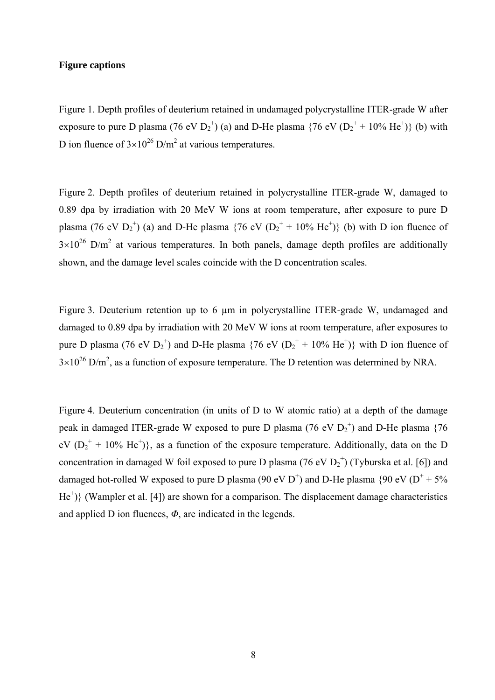## **Figure captions**

Figure 1. Depth profiles of deuterium retained in undamaged polycrystalline ITER-grade W after exposure to pure D plasma (76 eV  $D_2^+$ ) (a) and D-He plasma {76 eV ( $D_2^+$  + 10% He<sup>+</sup>)} (b) with D ion fluence of  $3\times10^{26}$  D/m<sup>2</sup> at various temperatures.

Figure 2. Depth profiles of deuterium retained in polycrystalline ITER-grade W, damaged to 0.89 dpa by irradiation with 20 MeV W ions at room temperature, after exposure to pure D plasma (76 eV  $D_2^+$ ) (a) and D-He plasma {76 eV ( $D_2^+$  + 10% He<sup>+</sup>)} (b) with D ion fluence of  $3\times10^{26}$  D/m<sup>2</sup> at various temperatures. In both panels, damage depth profiles are additionally shown, and the damage level scales coincide with the D concentration scales.

Figure 3. Deuterium retention up to 6 um in polycrystalline ITER-grade W, undamaged and damaged to 0.89 dpa by irradiation with 20 MeV W ions at room temperature, after exposures to pure D plasma (76 eV  $D_2^+$ ) and D-He plasma {76 eV ( $D_2^+$  + 10% He<sup>+</sup>)} with D ion fluence of  $3\times10^{26}$  D/m<sup>2</sup>, as a function of exposure temperature. The D retention was determined by NRA.

Figure 4. Deuterium concentration (in units of D to W atomic ratio) at a depth of the damage peak in damaged ITER-grade W exposed to pure D plasma (76 eV  $D_2^+$ ) and D-He plasma {76 eV  $(D_2^+ + 10\% \text{ He}^+)$ , as a function of the exposure temperature. Additionally, data on the D concentration in damaged W foil exposed to pure D plasma (76 eV  $D_2^+$ ) (Tyburska et al. [6]) and damaged hot-rolled W exposed to pure D plasma (90 eV D<sup>+</sup>) and D-He plasma {90 eV ( $D^+$  + 5% He<sup>+</sup>)} (Wampler et al. [4]) are shown for a comparison. The displacement damage characteristics and applied D ion fluences, *Φ*, are indicated in the legends.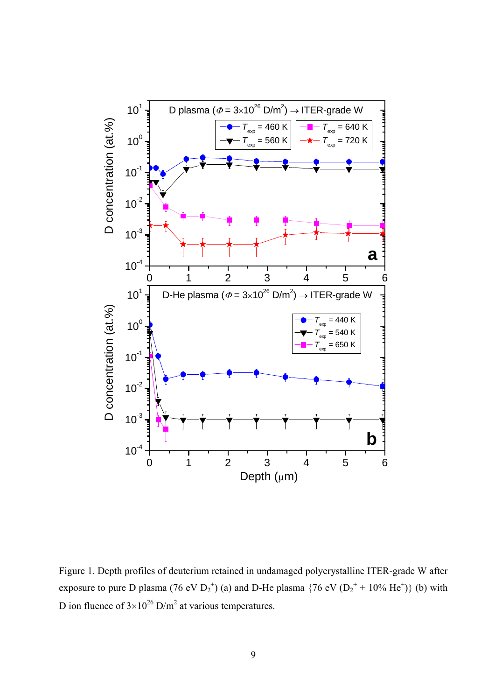

Figure 1. Depth profiles of deuterium retained in undamaged polycrystalline ITER-grade W after exposure to pure D plasma (76 eV  $D_2^{\dagger}$ ) (a) and D-He plasma {76 eV ( $D_2^{\dagger}$  + 10% He<sup>+</sup>)} (b) with D ion fluence of  $3\times10^{26}$  D/m<sup>2</sup> at various temperatures.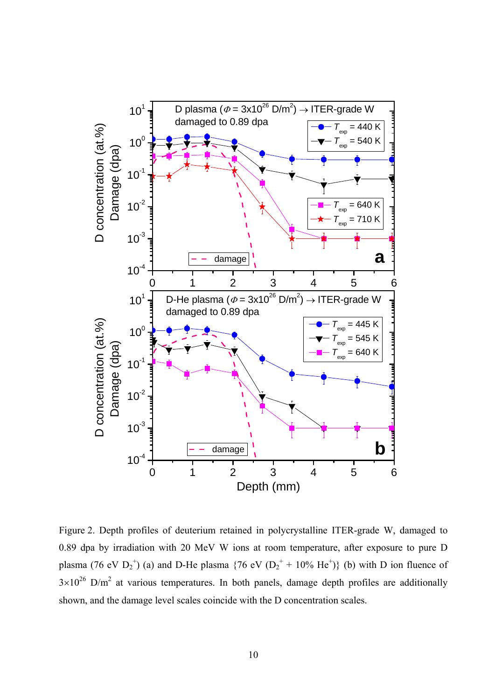

Figure 2. Depth profiles of deuterium retained in polycrystalline ITER-grade W, damaged to 0.89 dpa by irradiation with 20 MeV W ions at room temperature, after exposure to pure D plasma (76 eV  $D_2^+$ ) (a) and D-He plasma {76 eV ( $D_2^+$  + 10% He<sup>+</sup>)} (b) with D ion fluence of  $3\times10^{26}$  D/m<sup>2</sup> at various temperatures. In both panels, damage depth profiles are additionally shown, and the damage level scales coincide with the D concentration scales.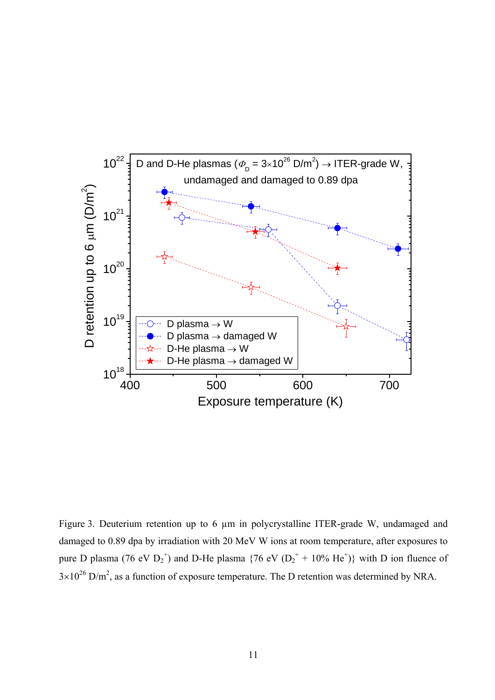

Figure 3. Deuterium retention up to 6 µm in polycrystalline ITER-grade W, undamaged and damaged to 0.89 dpa by irradiation with 20 MeV W ions at room temperature, after exposures to pure D plasma (76 eV  $D_2^+$ ) and D-He plasma {76 eV ( $D_2^+$  + 10% He<sup>+</sup>)} with D ion fluence of  $3\times10^{26}$  D/m<sup>2</sup>, as a function of exposure temperature. The D retention was determined by NRA.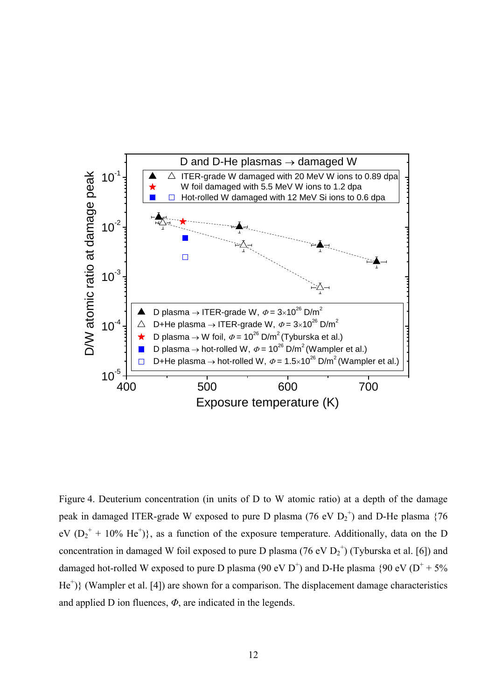

Figure 4. Deuterium concentration (in units of D to W atomic ratio) at a depth of the damage peak in damaged ITER-grade W exposed to pure D plasma (76 eV  $D_2^+$ ) and D-He plasma {76  $eV (D_2^+ + 10\% \text{ He}^+)$ , as a function of the exposure temperature. Additionally, data on the D concentration in damaged W foil exposed to pure D plasma (76 eV  $D_2^+$ ) (Tyburska et al. [6]) and damaged hot-rolled W exposed to pure D plasma (90 eV D<sup>+</sup>) and D-He plasma {90 eV ( $D^+$  + 5%  $He<sup>+</sup>$ } (Wampler et al. [4]) are shown for a comparison. The displacement damage characteristics and applied D ion fluences, *Φ*, are indicated in the legends.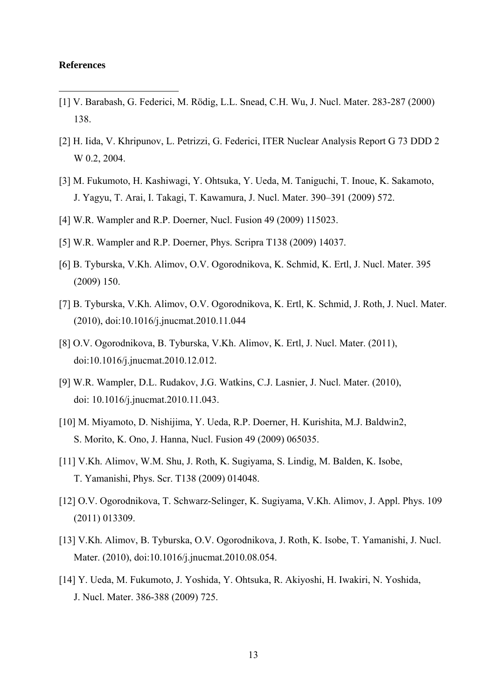#### **References**

1

- [1] V. Barabash, G. Federici, M. Rödig, L.L. Snead, C.H. Wu, J. Nucl. Mater. 283-287 (2000) 138.
- [2] H. Iida, V. Khripunov, L. Petrizzi, G. Federici, ITER Nuclear Analysis Report G 73 DDD 2 W 0.2, 2004.
- [3] M. Fukumoto, H. Kashiwagi, Y. Ohtsuka, Y. Ueda, M. Taniguchi, T. Inoue, K. Sakamoto, J. Yagyu, T. Arai, I. Takagi, T. Kawamura, J. Nucl. Mater. 390–391 (2009) 572.
- [4] W.R. Wampler and R.P. Doerner, Nucl. Fusion 49 (2009) 115023.
- [5] W.R. Wampler and R.P. Doerner, Phys. Scripra T138 (2009) 14037.
- [6] B. Tyburska, V.Kh. Alimov, O.V. Ogorodnikova, K. Schmid, K. Ertl, J. Nucl. Mater. 395 (2009) 150.
- [7] B. Tyburska, V.Kh. Alimov, O.V. Ogorodnikova, K. Ertl, K. Schmid, J. Roth, J. Nucl. Mater. (2010), doi:10.1016/j.jnucmat.2010.11.044
- [8] O.V. Ogorodnikova, B. Tyburska, V.Kh. Alimov, K. Ertl, J. Nucl. Mater. (2011), doi:10.1016/j.jnucmat.2010.12.012.
- [9] W.R. Wampler, D.L. Rudakov, J.G. Watkins, C.J. Lasnier, J. Nucl. Mater. (2010), doi: 10.1016/j.jnucmat.2010.11.043.
- [10] M. Miyamoto, D. Nishijima, Y. Ueda, R.P. Doerner, H. Kurishita, M.J. Baldwin2, S. Morito, K. Ono, J. Hanna, Nucl. Fusion 49 (2009) 065035.
- [11] V.Kh. Alimov, W.M. Shu, J. Roth, K. Sugiyama, S. Lindig, M. Balden, K. Isobe, T. Yamanishi, Phys. Scr. T138 (2009) 014048.
- [12] O.V. Ogorodnikova, T. Schwarz-Selinger, K. Sugiyama, V.Kh. Alimov, J. Appl. Phys. 109 (2011) 013309.
- [13] V.Kh. Alimov, B. Tyburska, O.V. Ogorodnikova, J. Roth, K. Isobe, T. Yamanishi, J. Nucl. Mater. (2010), doi:10.1016/j.jnucmat.2010.08.054.
- [14] Y. Ueda, M. Fukumoto, J. Yoshida, Y. Ohtsuka, R. Akiyoshi, H. Iwakiri, N. Yoshida, J. Nucl. Mater. 386-388 (2009) 725.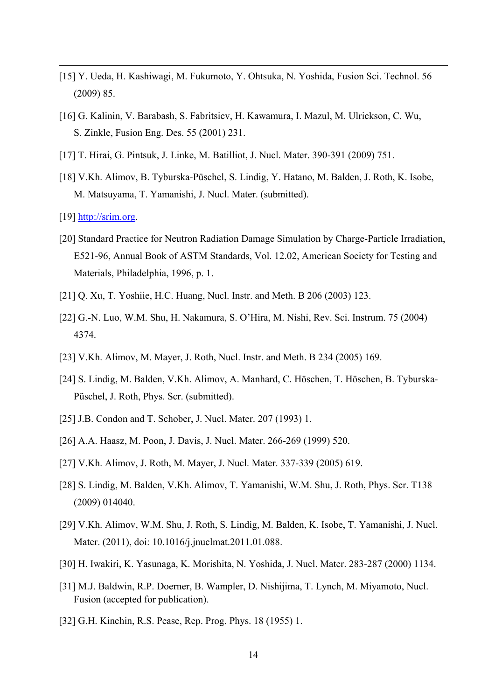- [15] Y. Ueda, H. Kashiwagi, M. Fukumoto, Y. Ohtsuka, N. Yoshida, Fusion Sci. Technol. 56 (2009) 85.
- [16] G. Kalinin, V. Barabash, S. Fabritsiev, H. Kawamura, I. Mazul, M. Ulrickson, C. Wu, S. Zinkle, Fusion Eng. Des. 55 (2001) 231.
- [17] T. Hirai, G. Pintsuk, J. Linke, M. Batilliot, J. Nucl. Mater. 390-391 (2009) 751.
- [18] V.Kh. Alimov, B. Tyburska-Püschel, S. Lindig, Y. Hatano, M. Balden, J. Roth, K. Isobe, M. Matsuyama, T. Yamanishi, J. Nucl. Mater. (submitted).
- [19] http://srim.org.

1

- [20] Standard Practice for Neutron Radiation Damage Simulation by Charge-Particle Irradiation, E521-96, Annual Book of ASTM Standards, Vol. 12.02, American Society for Testing and Materials, Philadelphia, 1996, p. 1.
- [21] Q. Xu, T. Yoshiie, H.C. Huang, Nucl. Instr. and Meth. B 206 (2003) 123.
- [22] G.-N. Luo, W.M. Shu, H. Nakamura, S. O'Hira, M. Nishi, Rev. Sci. Instrum. 75 (2004) 4374.
- [23] V.Kh. Alimov, M. Mayer, J. Roth, Nucl. Instr. and Meth. B 234 (2005) 169.
- [24] S. Lindig, M. Balden, V.Kh. Alimov, A. Manhard, C. Höschen, T. Höschen, B. Tyburska-Püschel, J. Roth, Phys. Scr. (submitted).
- [25] J.B. Condon and T. Schober, J. Nucl. Mater. 207 (1993) 1.
- [26] A.A. Haasz, M. Poon, J. Davis, J. Nucl. Mater. 266-269 (1999) 520.
- [27] V.Kh. Alimov, J. Roth, M. Mayer, J. Nucl. Mater. 337-339 (2005) 619.
- [28] S. Lindig, M. Balden, V.Kh. Alimov, T. Yamanishi, W.M. Shu, J. Roth, Phys. Scr. T138 (2009) 014040.
- [29] V.Kh. Alimov, W.M. Shu, J. Roth, S. Lindig, M. Balden, K. Isobe, T. Yamanishi, J. Nucl. Mater. (2011), doi: 10.1016/j.jnuclmat.2011.01.088.
- [30] H. Iwakiri, K. Yasunaga, K. Morishita, N. Yoshida, J. Nucl. Mater. 283-287 (2000) 1134.
- [31] M.J. Baldwin, R.P. Doerner, B. Wampler, D. Nishijima, T. Lynch, M. Miyamoto, Nucl. Fusion (accepted for publication).
- [32] G.H. Kinchin, R.S. Pease, Rep. Prog. Phys. 18 (1955) 1.